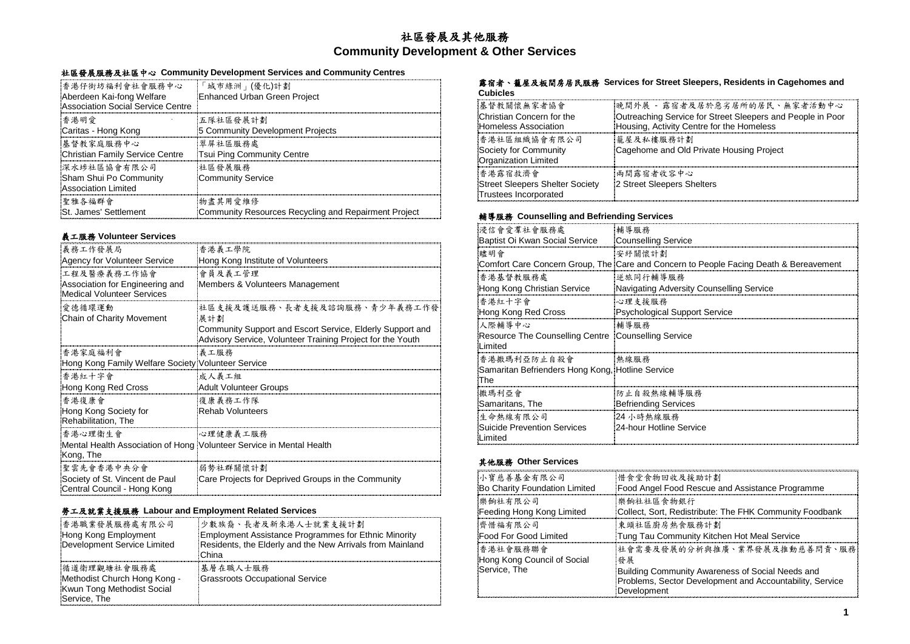## 社區發展及其他服務 **Community Development & Other Services**

## 社區發展服務及社區中心 **Community Development Services and Community Centres**

| 香港仔街坊福利會社會服務中心                    | 「城市綠洲」(優化)計劃                                         |
|-----------------------------------|------------------------------------------------------|
| Aberdeen Kai-fong Welfare         | Enhanced Urban Green Project                         |
| Association Social Service Centre |                                                      |
| 香港明愛                              | 五隊社區發展計劃                                             |
| Caritas - Hong Kong               | 5 Community Development Projects                     |
| 基督教家庭服務中心                         | 翠屏社區服務處                                              |
| Christian Family Service Centre   | Tsui Ping Community Centre                           |
| 深水埗社區協會有限公司                       | 社區發展服務                                               |
| Sham Shui Po Community            | Community Service                                    |
| Association Limited               |                                                      |
| 聖雅各福群會                            | 物盡其用愛維修                                              |
| St. James' Settlement             | Community Resources Recycling and Repairment Project |

## 義工服務 **Volunteer Services**

| 義務工作發展局                                                                           | 香港義工學院                                                                                                                  |
|-----------------------------------------------------------------------------------|-------------------------------------------------------------------------------------------------------------------------|
| Agency for Volunteer Service                                                      | Hong Kong Institute of Volunteers                                                                                       |
| 工程及醫療義務工作協會                                                                       | 會員及義工管理                                                                                                                 |
| Association for Engineering and<br><b>Medical Volunteer Services</b>              | Members & Volunteers Management                                                                                         |
| 愛德循環運動                                                                            | 社區支援及護送服務、長者支援及諮詢服務、青少年義務工作發                                                                                            |
| Chain of Charity Movement                                                         | 展計劃                                                                                                                     |
|                                                                                   | Community Support and Escort Service, Elderly Support and<br>Advisory Service, Volunteer Training Project for the Youth |
| 香港家庭福利會                                                                           | 義工服務                                                                                                                    |
| Hong Kong Family Welfare Society Volunteer Service                                |                                                                                                                         |
| 香港紅十字會                                                                            | 成人義工組                                                                                                                   |
| Hong Kong Red Cross                                                               | Adult Volunteer Groups                                                                                                  |
| 香港復康會                                                                             | 復康義務工作隊                                                                                                                 |
| Hong Kong Society for<br>Rehabilitation, The                                      | Rehab Volunteers                                                                                                        |
| 香港心理衛生會                                                                           | 心理健康義工服務                                                                                                                |
| Mental Health Association of Hong Volunteer Service in Mental Health<br>Kong, The |                                                                                                                         |
| 聖雲先會香港中央分會                                                                        | 弱勢社群關懷計劃                                                                                                                |
| Society of St. Vincent de Paul<br>Central Council - Hong Kong                     | Care Projects for Deprived Groups in the Community                                                                      |

## 勞工及就業支援服務 **Labour and Employment Related Services**

| 香港職業發展服務處有限公司<br>Hong Kong Employment<br>Development Service Limited                      | 少數族裔、長者及新來港人士就業支援計劃<br>Employment Assistance Programmes for Ethnic Minority<br>Residents, the Elderly and the New Arrivals from Mainland<br><b>China</b> |
|-------------------------------------------------------------------------------------------|----------------------------------------------------------------------------------------------------------------------------------------------------------|
| 循道衛理觀塘社會服務處<br>Methodist Church Hong Kong -<br>Kwun Tong Methodist Social<br>Service, The | 基層在職人士服務<br>Grassroots Occupational Service                                                                                                              |

#### 露宿者、籠屋及板間房居民服務 **Services for Street Sleepers, Residents in Cagehomes and Cubicles**

| 基督教關懷無家者協會<br>Christian Concern for the<br>Homeless Association     | 晚間外展 - 露宿者及居於惡劣居所的居民、無家者活動中心<br>Outreaching Service for Street Sleepers and People in Poor<br>Housing, Activity Centre for the Homeless |
|---------------------------------------------------------------------|-----------------------------------------------------------------------------------------------------------------------------------------|
| 香港社區組織協會有限公司<br>Society for Community<br>Organization Limited       | 籠屋及私樓服務計劃<br>Cagehome and Old Private Housing Project                                                                                   |
| 香港露宿救濟會<br>Street Sleepers Shelter Society<br>Trustees Incorporated | 兩間露宿者收容中心<br>2 Street Sleepers Shelters                                                                                                 |

## 輔導服務 **Counselling and Befriending Services**

| 浸信會愛羣社會服務處                                                       | 輔導服務                                                                                  |
|------------------------------------------------------------------|---------------------------------------------------------------------------------------|
| Baptist Oi Kwan Social Service                                   | Counselling Service                                                                   |
| 臑明會                                                              | 安紓關懷計劃                                                                                |
|                                                                  | Comfort Care Concern Group, The Care and Concern to People Facing Death & Bereavement |
| 香港基督教服務處                                                         | 逆旅同行輔導服務                                                                              |
| Hong Kong Christian Service                                      | Navigating Adversity Counselling Service                                              |
| 香港紅十字會                                                           | 心理支援服務                                                                                |
| Hong Kong Red Cross                                              | Psychological Support Service                                                         |
| 人際輔導中心                                                           | 輔導服務                                                                                  |
| Resource The Counselling Centre [Counselling Service]<br>Limited |                                                                                       |
| 香港撒瑪利亞防止自殺會                                                      | 執線服務                                                                                  |
| Samaritan Befrienders Hong Kong, Hotline Service<br>The          |                                                                                       |
| 撒瑪利亞會                                                            | 防止自殺熱線輔導服務                                                                            |
| Samaritans, The                                                  | Befriending Services                                                                  |
| 生命熱線有限公司                                                         | 24 小時執線服務                                                                             |
| Suicide Prevention Services<br>Limited                           | 24-hour Hotline Service                                                               |

## 其他服務 **Other Services**

| 小寶慈善基金有限公司                                              | 惜食堂食物回收及援助計劃                                                                                                                                                        |
|---------------------------------------------------------|---------------------------------------------------------------------------------------------------------------------------------------------------------------------|
| Bo Charity Foundation Limited                           | Food Angel Food Rescue and Assistance Programme                                                                                                                     |
| 樂餉社有限公司                                                 | 樂餉社社區食物銀行                                                                                                                                                           |
| Feeding Hong Kong Limited                               | Collect, Sort, Redistribute: The FHK Community Foodbank                                                                                                             |
| 齊惜福有限公司                                                 | 東頭社區廚房熱食服務計劃                                                                                                                                                        |
| Food For Good Limited                                   | Tung Tau Community Kitchen Hot Meal Service                                                                                                                         |
| 香港社會服務聯會<br>Hong Kong Council of Social<br>Service. The | 社會需要及發展的分析與推廣、業界發展及推動慈善問責、服務<br>  發展<br>Building Community Awareness of Social Needs and<br>Problems, Sector Development and Accountability, Service<br>Development |